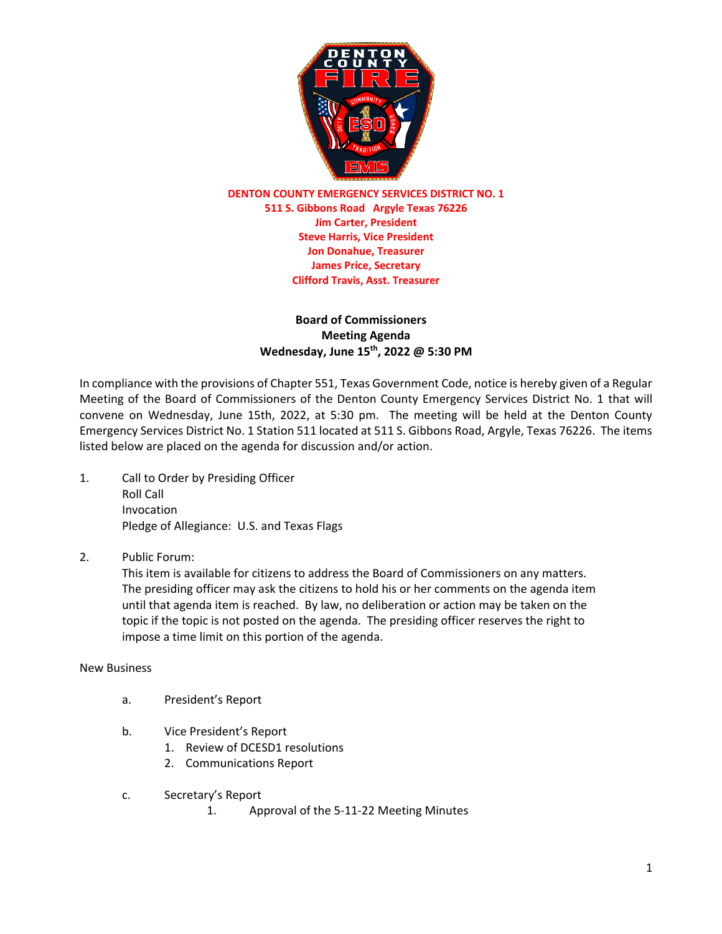

**DENTON COUNTY EMERGENCY SERVICES DISTRICT NO. 1 511 S. Gibbons Road Argyle Texas 76226 Jim Carter, President Steve Harris, Vice President Jon Donahue, Treasurer James Price, Secretary Clifford Travis, Asst. Treasurer**

## **Board of Commissioners Meeting Agenda Wednesday, June 15 th , 2022 @ 5:30 PM**

In compliance with the provisions of Chapter 551, Texas Government Code, notice is hereby given of a Regular Meeting of the Board of Commissioners of the Denton County Emergency Services District No. 1 that will convene on Wednesday, June 15th, 2022, at 5:30 pm. The meeting will be held at the Denton County Emergency Services District No. 1 Station 511 located at 511 S. Gibbons Road, Argyle, Texas 76226. The items listed below are placed on the agenda for discussion and/or action.

- 1. Call to Order by Presiding Officer Roll Call Invocation Pledge of Allegiance: U.S. and Texas Flags
- 2. Public Forum:

This item is available for citizens to address the Board of Commissioners on any matters. The presiding officer may ask the citizens to hold his or her comments on the agenda item until that agenda item is reached. By law, no deliberation or action may be taken on the topic if the topic is not posted on the agenda. The presiding officer reserves the right to impose a time limit on this portion of the agenda.

New Business

- a. President's Report
- b. Vice President's Report
	- 1. Review of DCESD1 resolutions
	- 2. Communications Report
- c. Secretary's Report
	- 1. Approval of the 5-11-22 Meeting Minutes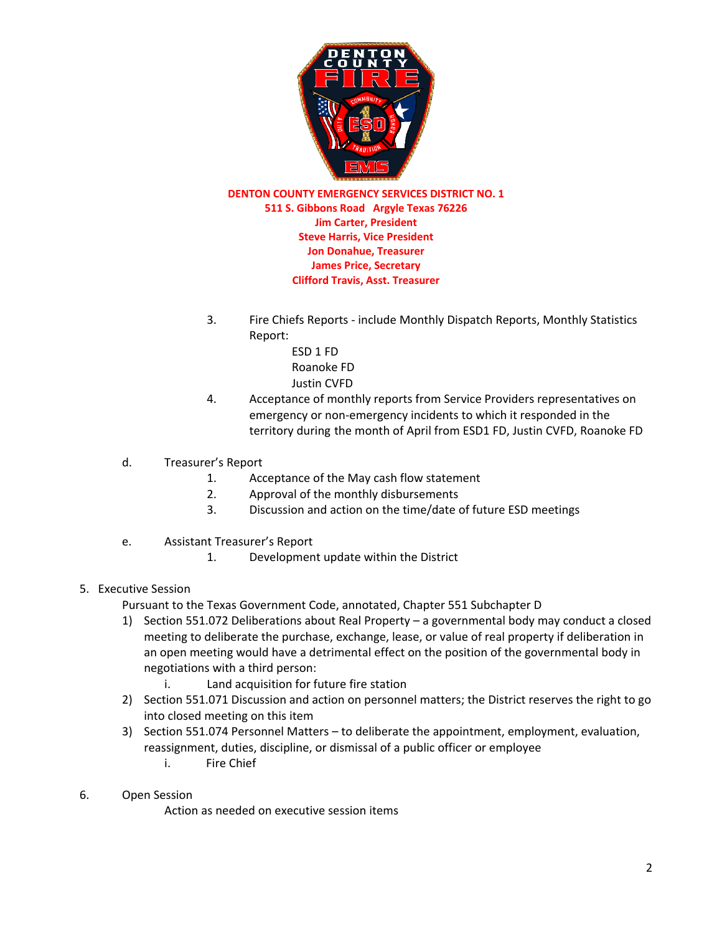

**DENTON COUNTY EMERGENCY SERVICES DISTRICT NO. 1 511 S. Gibbons Road Argyle Texas 76226 Jim Carter, President Steve Harris, Vice President Jon Donahue, Treasurer James Price, Secretary Clifford Travis, Asst. Treasurer**

- 3. Fire Chiefs Reports include Monthly Dispatch Reports, Monthly Statistics Report:
	- ESD 1 FD Roanoke FD Justin CVFD
- 4. Acceptance of monthly reports from Service Providers representatives on emergency or non-emergency incidents to which it responded in the territory during the month of April from ESD1 FD, Justin CVFD, Roanoke FD
- d. Treasurer's Report
	- 1. Acceptance of the May cash flow statement
	- 2. Approval of the monthly disbursements
	- 3. Discussion and action on the time/date of future ESD meetings
- e. Assistant Treasurer's Report
	- 1. Development update within the District

## 5. Executive Session

Pursuant to the Texas Government Code, annotated, Chapter 551 Subchapter D

- 1) Section 551.072 Deliberations about Real Property a governmental body may conduct a closed meeting to deliberate the purchase, exchange, lease, or value of real property if deliberation in an open meeting would have a detrimental effect on the position of the governmental body in negotiations with a third person:
	- i. Land acquisition for future fire station
- 2) Section 551.071 Discussion and action on personnel matters; the District reserves the right to go into closed meeting on this item
- 3) Section 551.074 Personnel Matters to deliberate the appointment, employment, evaluation, reassignment, duties, discipline, or dismissal of a public officer or employee
	- i. Fire Chief
- 6. Open Session

Action as needed on executive session items